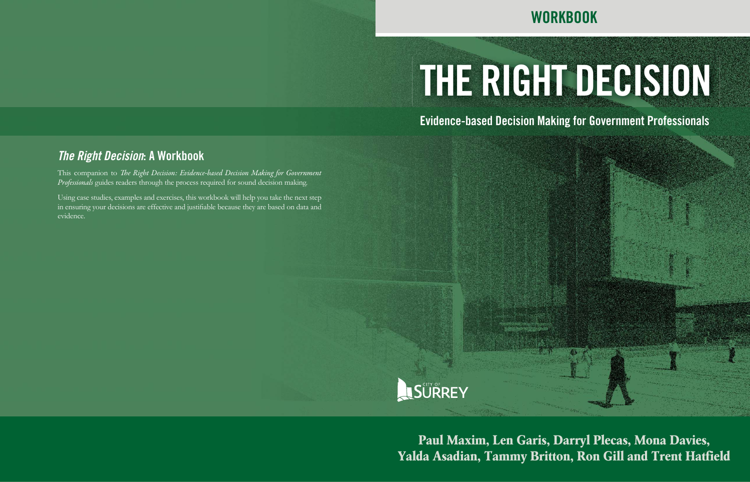# **THE RIGHT DECISION**

#### **Evidence-based Decision Making for Government Professionals**

### **WORKBOOK**

**Paul Maxim, Len Garis, Darryl Plecas, Mona Davies, Yalda Asadian, Tammy Britton, Ron Gill and Trent Hatfield**

This companion to *The Right Decision: Evidence-based Decision Making for Government Professionals* guides readers through the process required for sound decision making.

#### *The Right Decision***: A Workbook**

Using case studies, examples and exercises, this workbook will help you take the next step in ensuring your decisions are effective and justifiable because they are based on data and evidence.